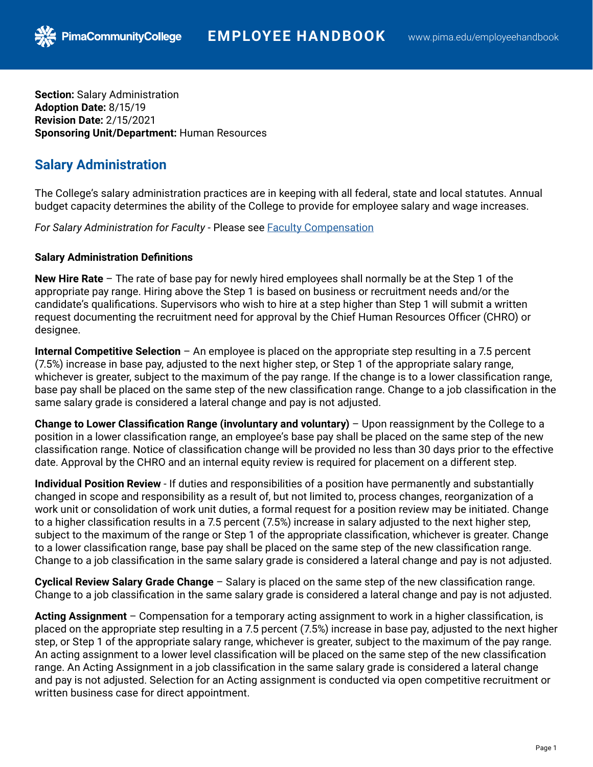**Section:** Salary Administration **Adoption Date:** 8/15/19 **Revision Date:** 2/15/2021 **Sponsoring Unit/Department:** Human Resources

**PimaCommunityCollege** 

## **Salary Administration**

The College's salary administration practices are in keeping with all federal, state and local statutes. Annual budget capacity determines the ability of the College to provide for employee salary and wage increases.

*For Salary Administration for Faculty* - Please see [Faculty Compensation](https://pima.edu/administration/human-resources/employee-handbook/docs/faculty-compensation.pdf)

## **Salary Administration Definitions**

**New Hire Rate** – The rate of base pay for newly hired employees shall normally be at the Step 1 of the appropriate pay range. Hiring above the Step 1 is based on business or recruitment needs and/or the candidate's qualifications. Supervisors who wish to hire at a step higher than Step 1 will submit a written request documenting the recruitment need for approval by the Chief Human Resources Officer (CHRO) or designee.

**Internal Competitive Selection** – An employee is placed on the appropriate step resulting in a 7.5 percent (7.5%) increase in base pay, adjusted to the next higher step, or Step 1 of the appropriate salary range, whichever is greater, subject to the maximum of the pay range. If the change is to a lower classification range, base pay shall be placed on the same step of the new classification range. Change to a job classification in the same salary grade is considered a lateral change and pay is not adjusted.

**Change to Lower Classification Range (involuntary and voluntary)** – Upon reassignment by the College to a position in a lower classification range, an employee's base pay shall be placed on the same step of the new classification range. Notice of classification change will be provided no less than 30 days prior to the effective date. Approval by the CHRO and an internal equity review is required for placement on a different step.

**Individual Position Review** - If duties and responsibilities of a position have permanently and substantially changed in scope and responsibility as a result of, but not limited to, process changes, reorganization of a work unit or consolidation of work unit duties, a formal request for a position review may be initiated. Change to a higher classification results in a 7.5 percent (7.5%) increase in salary adjusted to the next higher step, subject to the maximum of the range or Step 1 of the appropriate classification, whichever is greater. Change to a lower classification range, base pay shall be placed on the same step of the new classification range. Change to a job classification in the same salary grade is considered a lateral change and pay is not adjusted.

**Cyclical Review Salary Grade Change** – Salary is placed on the same step of the new classification range. Change to a job classification in the same salary grade is considered a lateral change and pay is not adjusted.

**Acting Assignment** – Compensation for a temporary acting assignment to work in a higher classification, is placed on the appropriate step resulting in a 7.5 percent (7.5%) increase in base pay, adjusted to the next higher step, or Step 1 of the appropriate salary range, whichever is greater, subject to the maximum of the pay range. An acting assignment to a lower level classification will be placed on the same step of the new classification range. An Acting Assignment in a job classification in the same salary grade is considered a lateral change and pay is not adjusted. Selection for an Acting assignment is conducted via open competitive recruitment or written business case for direct appointment.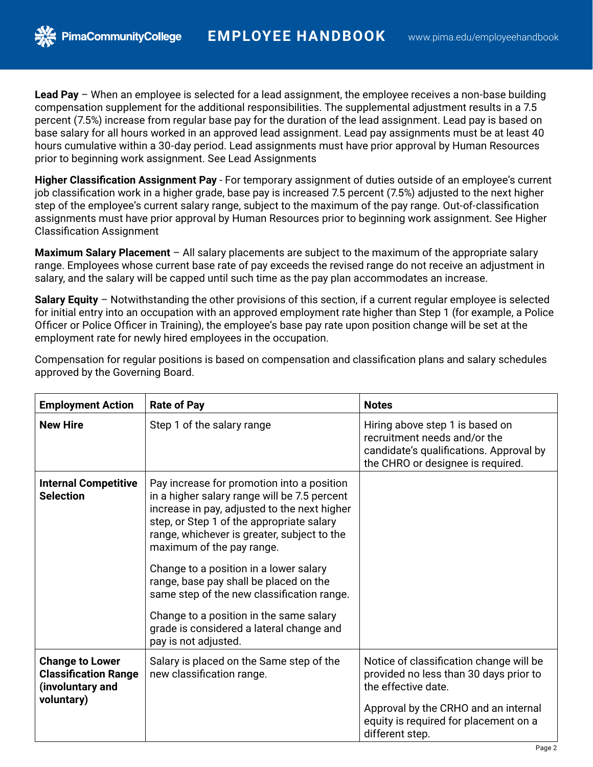**Lead Pay** – When an employee is selected for a lead assignment, the employee receives a non-base building compensation supplement for the additional responsibilities. The supplemental adjustment results in a 7.5 percent (7.5%) increase from regular base pay for the duration of the lead assignment. Lead pay is based on base salary for all hours worked in an approved lead assignment. Lead pay assignments must be at least 40 hours cumulative within a 30-day period. Lead assignments must have prior approval by Human Resources prior to beginning work assignment. See [Lead Assignments](https://pima.edu/administration/human-resources/employee-handbook/docs/lead-assignments.pdf)

**Higher Classification Assignment Pay** - For temporary assignment of duties outside of an employee's current job classification work in a higher grade, base pay is increased 7.5 percent (7.5%) adjusted to the next higher step of the employee's current salary range, subject to the maximum of the pay range. Out-of-classification assignments must have prior approval by Human Resources prior to beginning work assignment. See [Higher](https://pima.edu/administration/human-resources/employee-handbook/docs/higher-classification-assignment.pdf)  [Classification Assignment](https://pima.edu/administration/human-resources/employee-handbook/docs/higher-classification-assignment.pdf)

**Maximum Salary Placement** – All salary placements are subject to the maximum of the appropriate salary range. Employees whose current base rate of pay exceeds the revised range do not receive an adjustment in salary, and the salary will be capped until such time as the pay plan accommodates an increase.

**Salary Equity** – Notwithstanding the other provisions of this section, if a current regular employee is selected for initial entry into an occupation with an approved employment rate higher than Step 1 (for example, a Police Officer or Police Officer in Training), the employee's base pay rate upon position change will be set at the employment rate for newly hired employees in the occupation.

| Compensation for regular positions is based on compensation and classification plans and salary schedules |  |  |
|-----------------------------------------------------------------------------------------------------------|--|--|
| approved by the Governing Board.                                                                          |  |  |

| <b>Employment Action</b>                                                                | <b>Rate of Pay</b>                                                                                                                                                                                                                                                                                                                                                                                                                                                                                                   | <b>Notes</b>                                                                                                                                                                                                 |
|-----------------------------------------------------------------------------------------|----------------------------------------------------------------------------------------------------------------------------------------------------------------------------------------------------------------------------------------------------------------------------------------------------------------------------------------------------------------------------------------------------------------------------------------------------------------------------------------------------------------------|--------------------------------------------------------------------------------------------------------------------------------------------------------------------------------------------------------------|
| <b>New Hire</b>                                                                         | Step 1 of the salary range                                                                                                                                                                                                                                                                                                                                                                                                                                                                                           | Hiring above step 1 is based on<br>recruitment needs and/or the<br>candidate's qualifications. Approval by<br>the CHRO or designee is required.                                                              |
| <b>Internal Competitive</b><br><b>Selection</b>                                         | Pay increase for promotion into a position<br>in a higher salary range will be 7.5 percent<br>increase in pay, adjusted to the next higher<br>step, or Step 1 of the appropriate salary<br>range, whichever is greater, subject to the<br>maximum of the pay range.<br>Change to a position in a lower salary<br>range, base pay shall be placed on the<br>same step of the new classification range.<br>Change to a position in the same salary<br>grade is considered a lateral change and<br>pay is not adjusted. |                                                                                                                                                                                                              |
| <b>Change to Lower</b><br><b>Classification Range</b><br>(involuntary and<br>voluntary) | Salary is placed on the Same step of the<br>new classification range.                                                                                                                                                                                                                                                                                                                                                                                                                                                | Notice of classification change will be<br>provided no less than 30 days prior to<br>the effective date.<br>Approval by the CRHO and an internal<br>equity is required for placement on a<br>different step. |